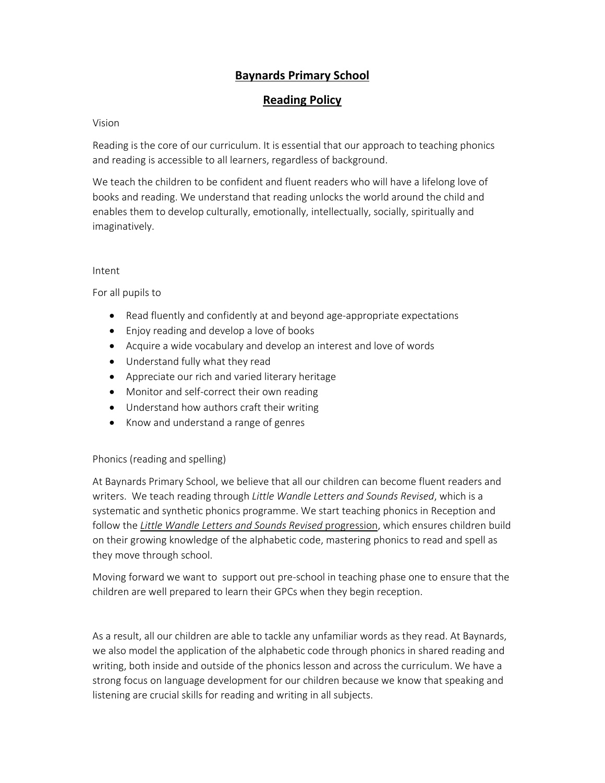# **Baynards Primary School**

# **Reading Policy**

#### Vision

Reading is the core of our curriculum. It is essential that our approach to teaching phonics and reading is accessible to all learners, regardless of background.

We teach the children to be confident and fluent readers who will have a lifelong love of books and reading. We understand that reading unlocks the world around the child and enables them to develop culturally, emotionally, intellectually, socially, spiritually and imaginatively.

#### Intent

For all pupils to

- Read fluently and confidently at and beyond age-appropriate expectations
- Enjoy reading and develop a love of books
- Acquire a wide vocabulary and develop an interest and love of words
- Understand fully what they read
- Appreciate our rich and varied literary heritage
- Monitor and self-correct their own reading
- Understand how authors craft their writing
- Know and understand a range of genres

#### Phonics (reading and spelling)

At Baynards Primary School, we believe that all our children can become fluent readers and writers. We teach reading through *Little Wandle Letters and Sounds Revised*, which is a systematic and synthetic phonics programme. We start teaching phonics in Reception and follow the *Little Wandle Letters and Sounds Revised* progression, which ensures children build on their growing knowledge of the alphabetic code, mastering phonics to read and spell as they move through school.

Moving forward we want to support out pre‐school in teaching phase one to ensure that the children are well prepared to learn their GPCs when they begin reception.

As a result, all our children are able to tackle any unfamiliar words as they read. At Baynards, we also model the application of the alphabetic code through phonics in shared reading and writing, both inside and outside of the phonics lesson and across the curriculum. We have a strong focus on language development for our children because we know that speaking and listening are crucial skills for reading and writing in all subjects.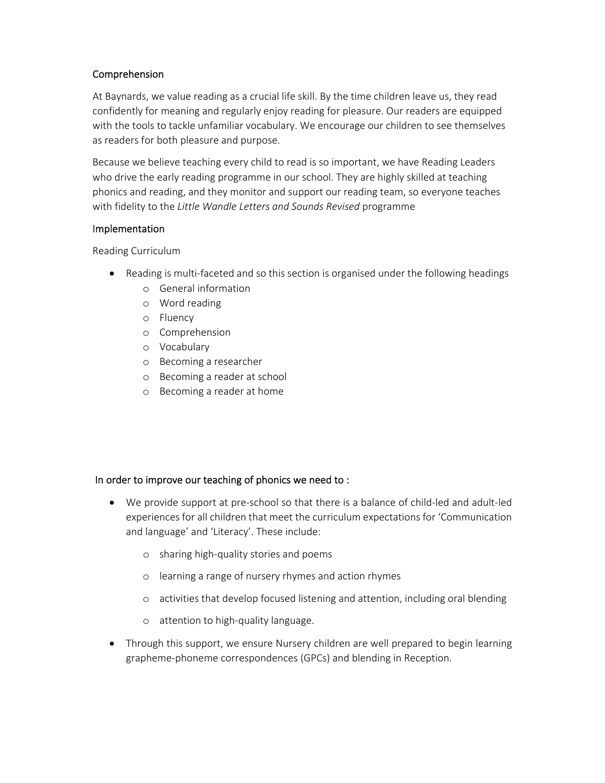## Comprehension

At Baynards, we value reading as a crucial life skill. By the time children leave us, they read confidently for meaning and regularly enjoy reading for pleasure. Our readers are equipped with the tools to tackle unfamiliar vocabulary. We encourage our children to see themselves as readers for both pleasure and purpose.

Because we believe teaching every child to read is so important, we have Reading Leaders who drive the early reading programme in our school. They are highly skilled at teaching phonics and reading, and they monitor and support our reading team, so everyone teaches with fidelity to the *Little Wandle Letters and Sounds Revised* programme

## Implementation

Reading Curriculum

- Reading is multi-faceted and so this section is organised under the following headings
	- o General information
	- o Word reading
	- o Fluency
	- o Comprehension
	- o Vocabulary
	- o Becoming a researcher
	- o Becoming a reader at school
	- o Becoming a reader at home

#### In order to improve our teaching of phonics we need to :

- We provide support at pre-school so that there is a balance of child-led and adult-led experiences for all children that meet the curriculum expectations for 'Communication and language' and 'Literacy'. These include:
	- o sharing high‐quality stories and poems
	- o learning a range of nursery rhymes and action rhymes
	- o activities that develop focused listening and attention, including oral blending
	- o attention to high‐quality language.
- Through this support, we ensure Nursery children are well prepared to begin learning grapheme‐phoneme correspondences (GPCs) and blending in Reception.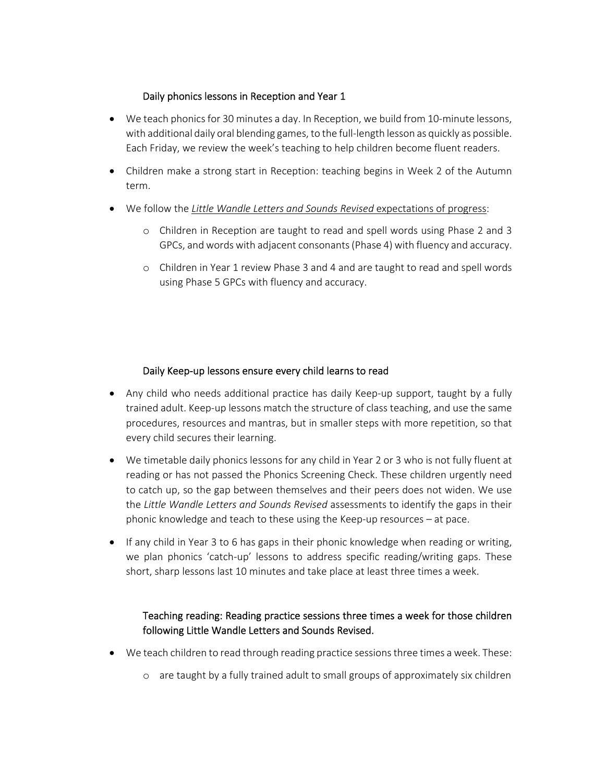## Daily phonics lessons in Reception and Year 1

- We teach phonics for 30 minutes a day. In Reception, we build from 10-minute lessons, with additional daily oral blending games, to the full‐length lesson as quickly as possible. Each Friday, we review the week's teaching to help children become fluent readers.
- Children make a strong start in Reception: teaching begins in Week 2 of the Autumn term.
- We follow the *Little Wandle Letters and Sounds Revised* expectations of progress:
	- o Children in Reception are taught to read and spell words using Phase 2 and 3 GPCs, and words with adjacent consonants(Phase 4) with fluency and accuracy.
	- o Children in Year 1 review Phase 3 and 4 and are taught to read and spell words using Phase 5 GPCs with fluency and accuracy.

## Daily Keep‐up lessons ensure every child learns to read

- Any child who needs additional practice has daily Keep-up support, taught by a fully trained adult. Keep‐up lessons match the structure of class teaching, and use the same procedures, resources and mantras, but in smaller steps with more repetition, so that every child secures their learning.
- We timetable daily phonics lessons for any child in Year 2 or 3 who is not fully fluent at reading or has not passed the Phonics Screening Check. These children urgently need to catch up, so the gap between themselves and their peers does not widen. We use the *Little Wandle Letters and Sounds Revised* assessments to identify the gaps in their phonic knowledge and teach to these using the Keep‐up resources – at pace.
- If any child in Year 3 to 6 has gaps in their phonic knowledge when reading or writing, we plan phonics 'catch-up' lessons to address specific reading/writing gaps. These short, sharp lessons last 10 minutes and take place at least three times a week.

# Teaching reading: Reading practice sessions three times a week for those children following Little Wandle Letters and Sounds Revised.

- We teach children to read through reading practice sessions three times a week. These:
	- o are taught by a fully trained adult to small groups of approximately six children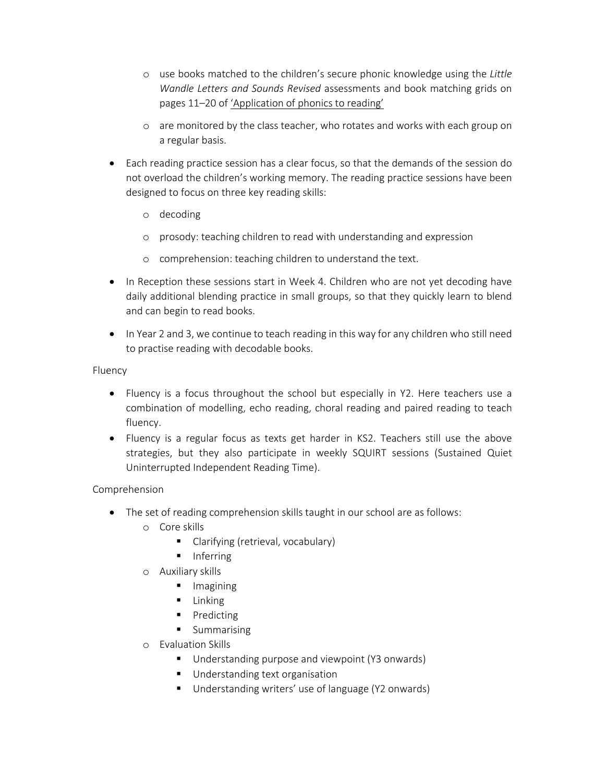- o use books matched to the children's secure phonic knowledge using the *Little Wandle Letters and Sounds Revised* assessments and book matching grids on pages 11–20 of 'Application of phonics to reading'
- o are monitored by the class teacher, who rotates and works with each group on a regular basis.
- Each reading practice session has a clear focus, so that the demands of the session do not overload the children's working memory. The reading practice sessions have been designed to focus on three key reading skills:
	- o decoding
	- o prosody: teaching children to read with understanding and expression
	- o comprehension: teaching children to understand the text.
- In Reception these sessions start in Week 4. Children who are not yet decoding have daily additional blending practice in small groups, so that they quickly learn to blend and can begin to read books.
- In Year 2 and 3, we continue to teach reading in this way for any children who still need to practise reading with decodable books.

Fluency

- Fluency is a focus throughout the school but especially in Y2. Here teachers use a combination of modelling, echo reading, choral reading and paired reading to teach fluency.
- Fluency is a regular focus as texts get harder in KS2. Teachers still use the above strategies, but they also participate in weekly SQUIRT sessions (Sustained Quiet Uninterrupted Independent Reading Time).

Comprehension

- The set of reading comprehension skills taught in our school are as follows:
	- o Core skills
		- Clarifying (retrieval, vocabulary)
		- $\blacksquare$  Inferring
	- o Auxiliary skills
		- **Imagining**
		- $\blacksquare$  Linking
		- Predicting
		- **Summarising**
	- o Evaluation Skills
		- Understanding purpose and viewpoint (Y3 onwards)
		- **Understanding text organisation**
		- Understanding writers' use of language (Y2 onwards)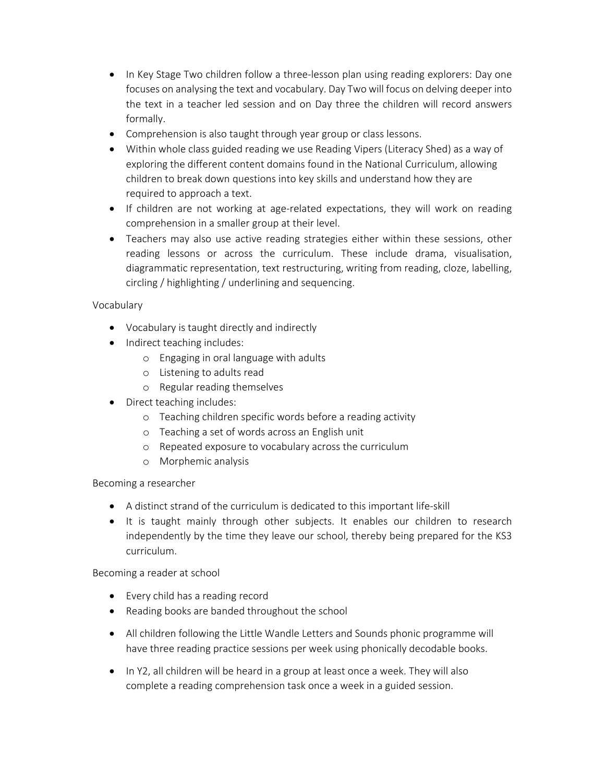- In Key Stage Two children follow a three-lesson plan using reading explorers: Day one focuses on analysing the text and vocabulary. Day Two will focus on delving deeper into the text in a teacher led session and on Day three the children will record answers formally.
- Comprehension is also taught through year group or class lessons.
- Within whole class guided reading we use Reading Vipers (Literacy Shed) as a way of exploring the different content domains found in the National Curriculum, allowing children to break down questions into key skills and understand how they are required to approach a text.
- If children are not working at age-related expectations, they will work on reading comprehension in a smaller group at their level.
- Teachers may also use active reading strategies either within these sessions, other reading lessons or across the curriculum. These include drama, visualisation, diagrammatic representation, text restructuring, writing from reading, cloze, labelling, circling / highlighting / underlining and sequencing.

# Vocabulary

- Vocabulary is taught directly and indirectly
- Indirect teaching includes:
	- o Engaging in oral language with adults
	- o Listening to adults read
	- o Regular reading themselves
- Direct teaching includes:
	- o Teaching children specific words before a reading activity
	- o Teaching a set of words across an English unit
	- o Repeated exposure to vocabulary across the curriculum
	- o Morphemic analysis

Becoming a researcher

- A distinct strand of the curriculum is dedicated to this important life-skill
- It is taught mainly through other subjects. It enables our children to research independently by the time they leave our school, thereby being prepared for the KS3 curriculum.

Becoming a reader at school

- Every child has a reading record
- Reading books are banded throughout the school
- All children following the Little Wandle Letters and Sounds phonic programme will have three reading practice sessions per week using phonically decodable books.
- In Y2, all children will be heard in a group at least once a week. They will also complete a reading comprehension task once a week in a guided session.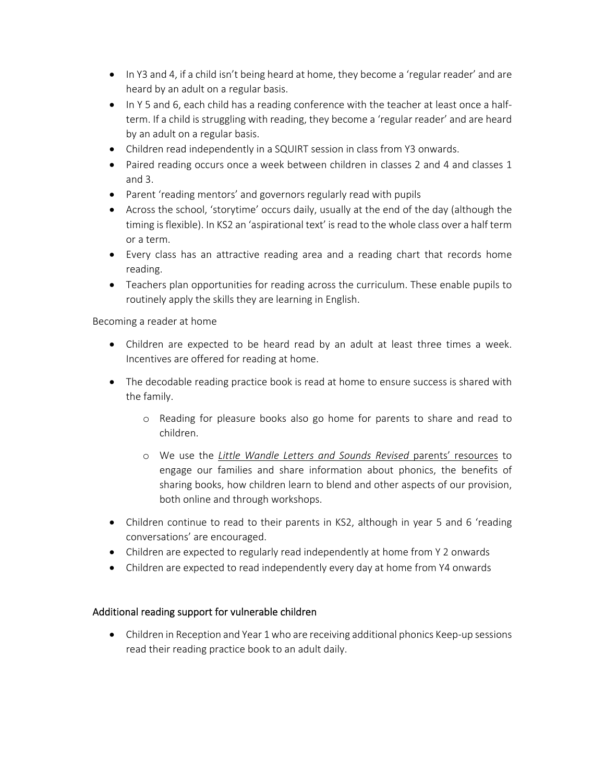- In Y3 and 4, if a child isn't being heard at home, they become a 'regular reader' and are heard by an adult on a regular basis.
- In Y 5 and 6, each child has a reading conference with the teacher at least once a halfterm. If a child is struggling with reading, they become a 'regular reader' and are heard by an adult on a regular basis.
- Children read independently in a SQUIRT session in class from Y3 onwards.
- Paired reading occurs once a week between children in classes 2 and 4 and classes 1 and 3.
- Parent 'reading mentors' and governors regularly read with pupils
- Across the school, 'storytime' occurs daily, usually at the end of the day (although the timing is flexible). In KS2 an 'aspirational text' is read to the whole class over a half term or a term.
- Every class has an attractive reading area and a reading chart that records home reading.
- Teachers plan opportunities for reading across the curriculum. These enable pupils to routinely apply the skills they are learning in English.

## Becoming a reader at home

- Children are expected to be heard read by an adult at least three times a week. Incentives are offered for reading at home.
- The decodable reading practice book is read at home to ensure success is shared with the family.
	- o Reading for pleasure books also go home for parents to share and read to children.
	- o We use the *Little Wandle Letters and Sounds Revised* parents' resources to engage our families and share information about phonics, the benefits of sharing books, how children learn to blend and other aspects of our provision, both online and through workshops.
- Children continue to read to their parents in KS2, although in year 5 and 6 'reading conversations' are encouraged.
- Children are expected to regularly read independently at home from Y 2 onwards
- Children are expected to read independently every day at home from Y4 onwards

## Additional reading support for vulnerable children

● Children in Reception and Year 1 who are receiving additional phonics Keep-up sessions read their reading practice book to an adult daily.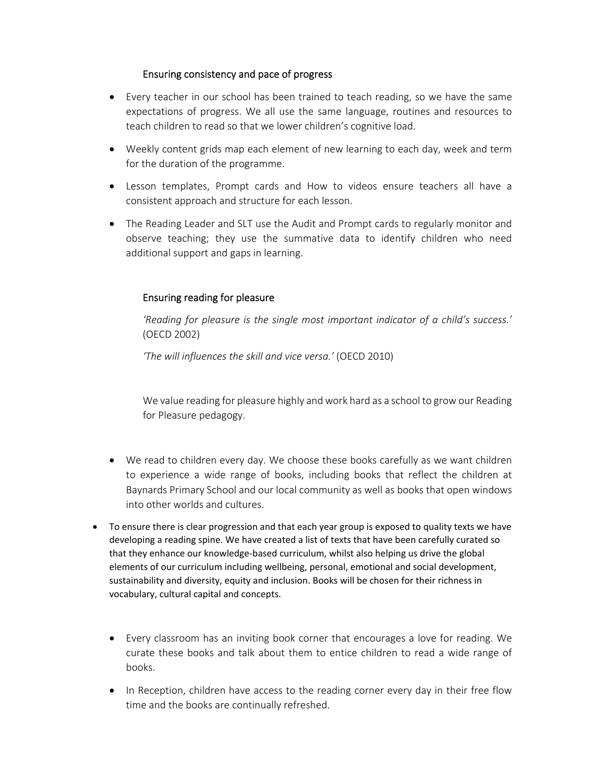#### Ensuring consistency and pace of progress

- Every teacher in our school has been trained to teach reading, so we have the same expectations of progress. We all use the same language, routines and resources to teach children to read so that we lower children's cognitive load.
- Weekly content grids map each element of new learning to each day, week and term for the duration of the programme.
- Lesson templates, Prompt cards and How to videos ensure teachers all have a consistent approach and structure for each lesson.
- The Reading Leader and SLT use the Audit and Prompt cards to regularly monitor and observe teaching; they use the summative data to identify children who need additional support and gaps in learning.

## Ensuring reading for pleasure

*'Reading for pleasure is the single most important indicator of a child's success.'* (OECD 2002)

*'The will influences the skill and vice versa.'* (OECD 2010)

We value reading for pleasure highly and work hard as a school to grow our Reading for Pleasure pedagogy.

- We read to children every day. We choose these books carefully as we want children to experience a wide range of books, including books that reflect the children at Baynards Primary School and our local community as well as books that open windows into other worlds and cultures.
- To ensure there is clear progression and that each year group is exposed to quality texts we have developing a reading spine. We have created a list of texts that have been carefully curated so that they enhance our knowledge‐based curriculum, whilst also helping us drive the global elements of our curriculum including wellbeing, personal, emotional and social development, sustainability and diversity, equity and inclusion. Books will be chosen for their richness in vocabulary, cultural capital and concepts.
	- Every classroom has an inviting book corner that encourages a love for reading. We curate these books and talk about them to entice children to read a wide range of books.
	- In Reception, children have access to the reading corner every day in their free flow time and the books are continually refreshed.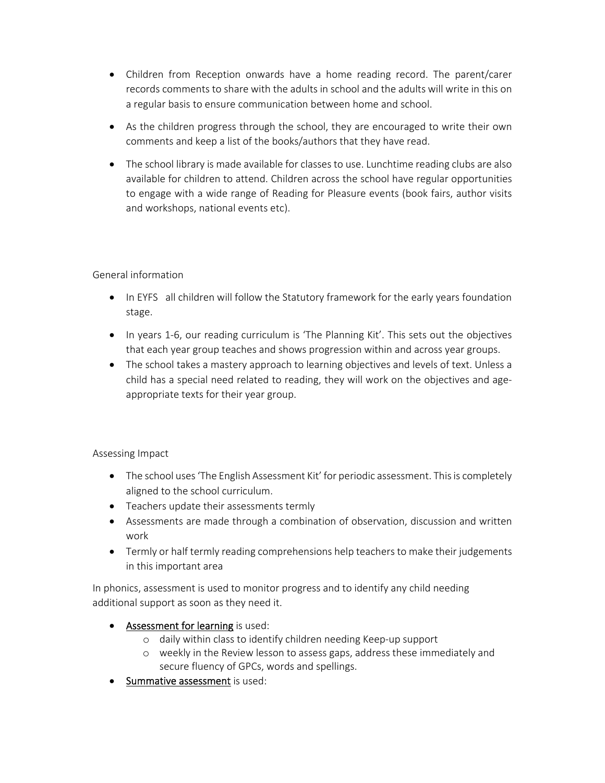- Children from Reception onwards have a home reading record. The parent/carer records comments to share with the adults in school and the adults will write in this on a regular basis to ensure communication between home and school.
- As the children progress through the school, they are encouraged to write their own comments and keep a list of the books/authors that they have read.
- The school library is made available for classes to use. Lunchtime reading clubs are also available for children to attend. Children across the school have regular opportunities to engage with a wide range of Reading for Pleasure events (book fairs, author visits and workshops, national events etc).

## General information

- In EYFS all children will follow the Statutory framework for the early years foundation stage.
- In years 1-6, our reading curriculum is 'The Planning Kit'. This sets out the objectives that each year group teaches and shows progression within and across year groups.
- The school takes a mastery approach to learning objectives and levels of text. Unless a child has a special need related to reading, they will work on the objectives and age‐ appropriate texts for their year group.

## Assessing Impact

- The school uses 'The English Assessment Kit' for periodic assessment. This is completely aligned to the school curriculum.
- Teachers update their assessments termly
- Assessments are made through a combination of observation, discussion and written work
- Termly or half termly reading comprehensions help teachers to make their judgements in this important area

In phonics, assessment is used to monitor progress and to identify any child needing additional support as soon as they need it.

- Assessment for learning is used:
	- o daily within class to identify children needing Keep‐up support
	- o weekly in the Review lesson to assess gaps, address these immediately and secure fluency of GPCs, words and spellings.
- Summative assessment is used: